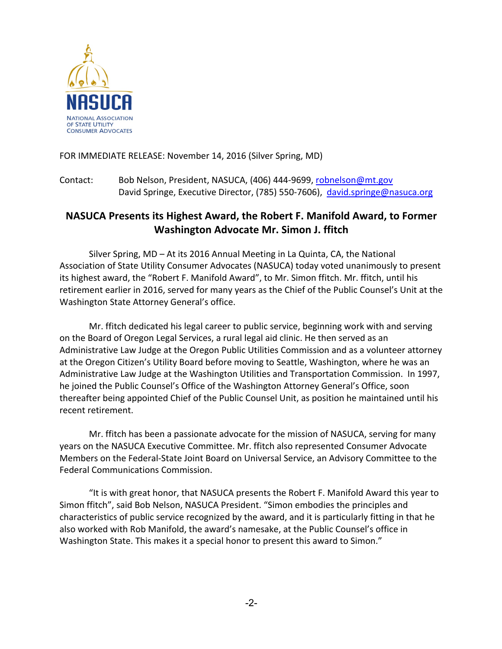

## FOR IMMEDIATE RELEASE: November 14, 2016 (Silver Spring, MD)

Contact: Bob Nelson, President, NASUCA, (406) 444-9699, robnelson@mt.gov David Springe, Executive Director, (785) 550-7606), david.springe@nasuca.org

## **NASUCA Presents its Highest Award, the Robert F. Manifold Award, to Former Washington Advocate Mr. Simon J. ffitch**

Silver Spring,  $MD - At$  its 2016 Annual Meeting in La Quinta, CA, the National Association of State Utility Consumer Advocates (NASUCA) today voted unanimously to present its highest award, the "Robert F. Manifold Award", to Mr. Simon ffitch. Mr. ffitch, until his retirement earlier in 2016, served for many years as the Chief of the Public Counsel's Unit at the Washington State Attorney General's office.

Mr. ffitch dedicated his legal career to public service, beginning work with and serving on the Board of Oregon Legal Services, a rural legal aid clinic. He then served as an Administrative Law Judge at the Oregon Public Utilities Commission and as a volunteer attorney at the Oregon Citizen's Utility Board before moving to Seattle, Washington, where he was an Administrative Law Judge at the Washington Utilities and Transportation Commission. In 1997, he joined the Public Counsel's Office of the Washington Attorney General's Office, soon thereafter being appointed Chief of the Public Counsel Unit, as position he maintained until his recent retirement.

Mr. ffitch has been a passionate advocate for the mission of NASUCA, serving for many years on the NASUCA Executive Committee. Mr. ffitch also represented Consumer Advocate Members on the Federal-State Joint Board on Universal Service, an Advisory Committee to the Federal Communications Commission.

"It is with great honor, that NASUCA presents the Robert F. Manifold Award this year to Simon ffitch", said Bob Nelson, NASUCA President. "Simon embodies the principles and characteristics of public service recognized by the award, and it is particularly fitting in that he also worked with Rob Manifold, the award's namesake, at the Public Counsel's office in Washington State. This makes it a special honor to present this award to Simon."